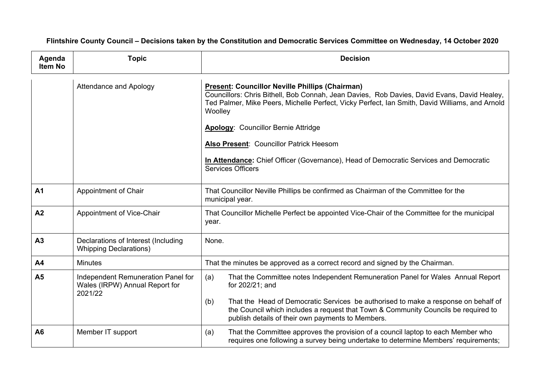Flintshire County Council - Decisions taken by the Constitution and Democratic Services Committee on Wednesday, 14 October 2020

| Agenda<br>Item No | <b>Topic</b>                                                                    | <b>Decision</b>                                                                                                                                                                                                                                                                                                                                   |
|-------------------|---------------------------------------------------------------------------------|---------------------------------------------------------------------------------------------------------------------------------------------------------------------------------------------------------------------------------------------------------------------------------------------------------------------------------------------------|
|                   | <b>Attendance and Apology</b>                                                   | <b>Present: Councillor Neville Phillips (Chairman)</b><br>Councillors: Chris Bithell, Bob Connah, Jean Davies, Rob Davies, David Evans, David Healey,<br>Ted Palmer, Mike Peers, Michelle Perfect, Vicky Perfect, Ian Smith, David Williams, and Arnold<br>Woolley<br><b>Apology: Councillor Bernie Attridge</b>                                  |
|                   |                                                                                 | Also Present: Councillor Patrick Heesom<br>In Attendance: Chief Officer (Governance), Head of Democratic Services and Democratic<br><b>Services Officers</b>                                                                                                                                                                                      |
| A1                | Appointment of Chair                                                            | That Councillor Neville Phillips be confirmed as Chairman of the Committee for the<br>municipal year.                                                                                                                                                                                                                                             |
| A2                | Appointment of Vice-Chair                                                       | That Councillor Michelle Perfect be appointed Vice-Chair of the Committee for the municipal<br>year.                                                                                                                                                                                                                                              |
| A3                | Declarations of Interest (Including<br><b>Whipping Declarations)</b>            | None.                                                                                                                                                                                                                                                                                                                                             |
| A <sub>4</sub>    | <b>Minutes</b>                                                                  | That the minutes be approved as a correct record and signed by the Chairman.                                                                                                                                                                                                                                                                      |
| A <sub>5</sub>    | Independent Remuneration Panel for<br>Wales (IRPW) Annual Report for<br>2021/22 | That the Committee notes Independent Remuneration Panel for Wales Annual Report<br>(a)<br>for 202/21; and<br>That the Head of Democratic Services be authorised to make a response on behalf of<br>(b)<br>the Council which includes a request that Town & Community Councils be required to<br>publish details of their own payments to Members. |
| A <sub>6</sub>    | Member IT support                                                               | That the Committee approves the provision of a council laptop to each Member who<br>(a)<br>requires one following a survey being undertake to determine Members' requirements;                                                                                                                                                                    |